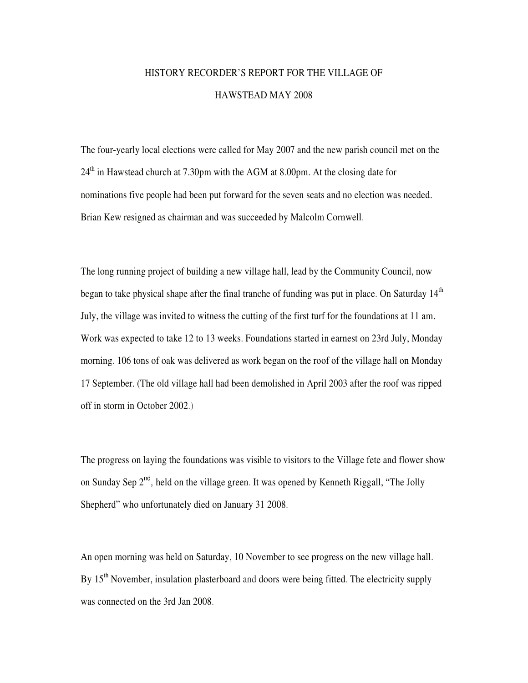## HISTORY RECORDER'S REPORT FOR THE VILLAGE OF HAWSTEAD MAY 2008

The four-yearly local elections were called for May 2007 and the new parish council met on the  $24<sup>th</sup>$  in Hawstead church at 7.30pm with the AGM at 8.00pm. At the closing date for nominations five people had been put forward for the seven seats and no election was needed. Brian Kew resigned as chairman and was succeeded by Malcolm Cornwell.

The long running project of building a new village hall, lead by the Community Council, now began to take physical shape after the final tranche of funding was put in place. On Saturday  $14<sup>th</sup>$ July, the village was invited to witness the cutting of the first turf for the foundations at 11 am. Work was expected to take 12 to 13 weeks. Foundations started in earnest on 23rd July, Monday morning. 106 tons of oak was delivered as work began on the roof of the village hall on Monday 17 September. (The old village hall had been demolished in April 2003 after the roof was ripped off in storm in October 2002.)

The progress on laying the foundations was visible to visitors to the Village fete and flower show on Sunday Sep  $2^{nd}$ , held on the village green. It was opened by Kenneth Riggall, "The Jolly Shepherd" who unfortunately died on January 31 2008.

An open morning was held on Saturday, 10 November to see progress on the new village hall. By  $15<sup>th</sup>$  November, insulation plasterboard and doors were being fitted. The electricity supply was connected on the 3rd Jan 2008.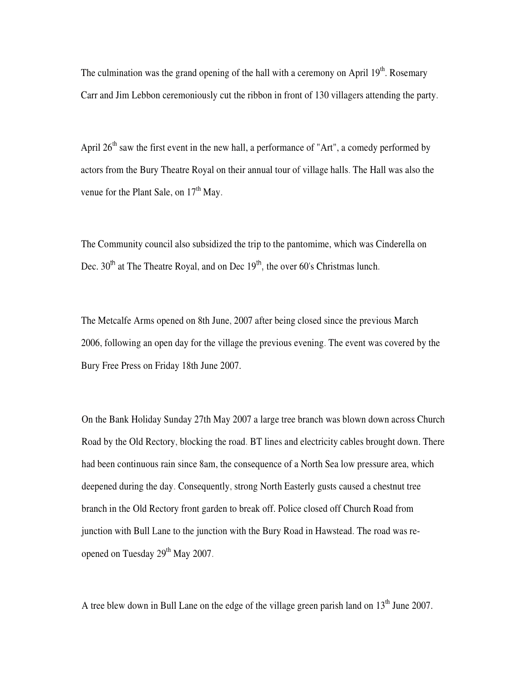The culmination was the grand opening of the hall with a ceremony on April  $19<sup>th</sup>$ . Rosemary Carr and Jim Lebbon ceremoniously cut the ribbon in front of 130 villagers attending the party.

April  $26<sup>th</sup>$  saw the first event in the new hall, a performance of "Art", a comedy performed by actors from the Bury Theatre Royal on their annual tour of village halls. The Hall was also the venue for the Plant Sale, on  $17<sup>th</sup>$  May.

The Community council also subsidized the trip to the pantomime, which was Cinderella on Dec.  $30<sup>th</sup>$  at The Theatre Royal, and on Dec  $19<sup>th</sup>$ , the over 60's Christmas lunch.

The Metcalfe Arms opened on 8th June, 2007 after being closed since the previous March 2006, following an open day for the village the previous evening. The event was covered by the Bury Free Press on Friday 18th June 2007.

On the Bank Holiday Sunday 27th May 2007 a large tree branch was blown down across Church Road by the Old Rectory, blocking the road. BT lines and electricity cables brought down. There had been continuous rain since 8am, the consequence of a North Sea low pressure area, which deepened during the day. Consequently, strong North Easterly gusts caused a chestnut tree branch in the Old Rectory front garden to break off. Police closed off Church Road from junction with Bull Lane to the junction with the Bury Road in Hawstead. The road was reopened on Tuesday 29<sup>th</sup> May 2007.

A tree blew down in Bull Lane on the edge of the village green parish land on  $13<sup>th</sup>$  June 2007.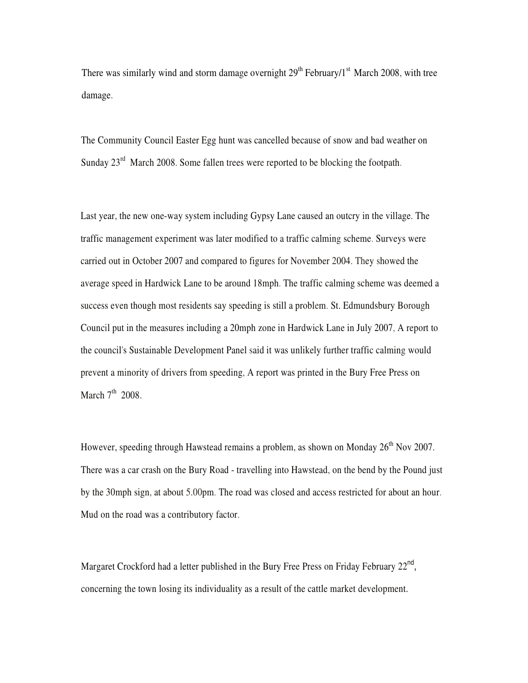There was similarly wind and storm damage overnight  $29<sup>th</sup>$  February/1<sup>st</sup> March 2008, with tree damage.

The Community Council Easter Egg hunt was cancelled because of snow and bad weather on Sunday  $23^{rd}$  March 2008. Some fallen trees were reported to be blocking the footpath.

Last year, the new one-way system including Gypsy Lane caused an outcry in the village. The traffic management experiment was later modified to a traffic calming scheme. Surveys were carried out in October 2007 and compared to figures for November 2004. They showed the average speed in Hardwick Lane to be around 18mph. The traffic calming scheme was deemed a success even though most residents say speeding is still a problem. St. Edmundsbury Borough Council put in the measures including a 20mph zone in Hardwick Lane in July 2007, A report to the council's Sustainable Development Panel said it was unlikely further traffic calming would prevent a minority of drivers from speeding, A report was printed in the Bury Free Press on March  $7<sup>th</sup>$  2008.

However, speeding through Hawstead remains a problem, as shown on Monday 26<sup>th</sup> Nov 2007. There was a car crash on the Bury Road - travelling into Hawstead, on the bend by the Pound just by the 30mph sign, at about 5.00pm. The road was closed and access restricted for about an hour. Mud on the road was a contributory factor.

Margaret Crockford had a letter published in the Bury Free Press on Friday February  $22^{\text{nd}}$ , concerning the town losing its individuality as a result of the cattle market development.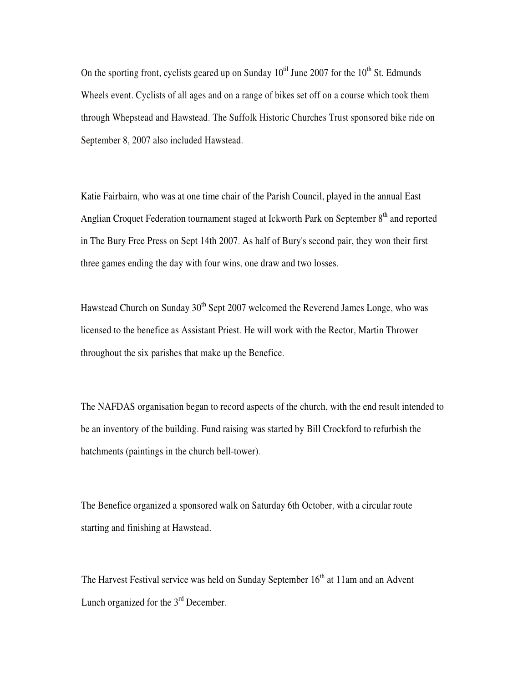On the sporting front, cyclists geared up on Sunday  $10^{til}$  June 2007 for the  $10^{th}$  St. Edmunds Wheels event. Cyclists of all ages and on a range of bikes set off on a course which took them through Whepstead and Hawstead. The Suffolk Historic Churches Trust sponsored bike ride on September 8, 2007 also included Hawstead.

Katie Fairbairn, who was at one time chair of the Parish Council, played in the annual East Anglian Croquet Federation tournament staged at Ickworth Park on September 8<sup>th</sup> and reported in The Bury Free Press on Sept 14th 2007. As half of Bury's second pair, they won their first three games ending the day with four wins, one draw and two losses.

Hawstead Church on Sunday  $30<sup>th</sup>$  Sept 2007 welcomed the Reverend James Longe, who was licensed to the benefice as Assistant Priest. He will work with the Rector, Martin Thrower throughout the six parishes that make up the Benefice.

The NAFDAS organisation began to record aspects of the church, with the end result intended to be an inventory of the building. Fund raising was started by Bill Crockford to refurbish the hatchments (paintings in the church bell-tower).

The Benefice organized a sponsored walk on Saturday 6th October, with a circular route starting and finishing at Hawstead.

The Harvest Festival service was held on Sunday September  $16<sup>th</sup>$  at 11am and an Advent Lunch organized for the  $3<sup>rd</sup>$  December.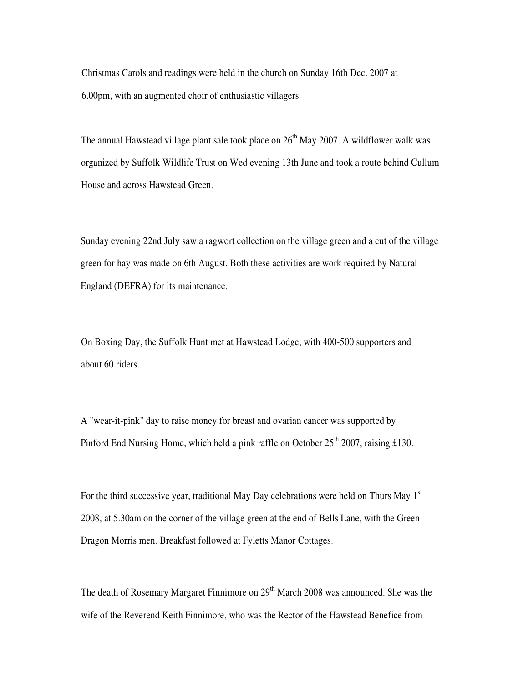Christmas Carols and readings were held in the church on Sunday 16th Dec. 2007 at 6.00pm, with an augmented choir of enthusiastic villagers.

The annual Hawstead village plant sale took place on  $26<sup>th</sup>$  May 2007. A wildflower walk was organized by Suffolk Wildlife Trust on Wed evening 13th June and took a route behind Cullum House and across Hawstead Green.

Sunday evening 22nd July saw a ragwort collection on the village green and a cut of the village green for hay was made on 6th August. Both these activities are work required by Natural England (DEFRA) for its maintenance.

On Boxing Day, the Suffolk Hunt met at Hawstead Lodge, with 400-500 supporters and about 60 riders.

A "wear-it-pink" day to raise money for breast and ovarian cancer was supported by Pinford End Nursing Home, which held a pink raffle on October  $25<sup>th</sup>$  2007, raising £130.

For the third successive year, traditional May Day celebrations were held on Thurs May  $1<sup>st</sup>$ 2008, at 5.30am on the corner of the village green at the end of Bells Lane, with the Green Dragon Morris men. Breakfast followed at Fyletts Manor Cottages.

The death of Rosemary Margaret Finnimore on 29<sup>th</sup> March 2008 was announced. She was the wife of the Reverend Keith Finnimore, who was the Rector of the Hawstead Benefice from